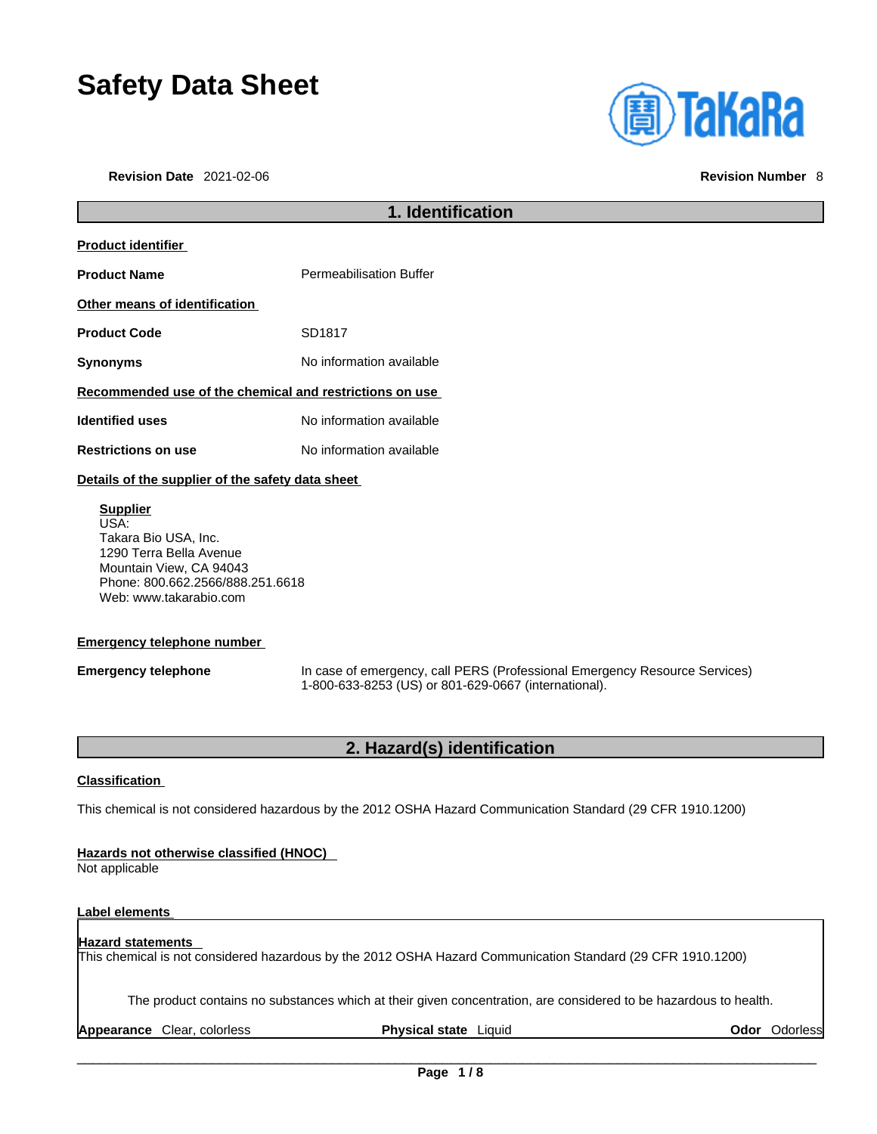# **Safety Data Sheet**

**Revision Date** 2021-02-06 **Revision Number** 8



|                                                         | 1. Identification              |  |
|---------------------------------------------------------|--------------------------------|--|
| <b>Product identifier</b>                               |                                |  |
| <b>Product Name</b>                                     | <b>Permeabilisation Buffer</b> |  |
| Other means of identification                           |                                |  |
| <b>Product Code</b>                                     | SD1817                         |  |
| <b>Synonyms</b>                                         | No information available       |  |
| Recommended use of the chemical and restrictions on use |                                |  |
| <b>Identified uses</b>                                  | No information available       |  |
| <b>Restrictions on use</b>                              | No information available       |  |
| Details of the supplier of the safety data sheet        |                                |  |

### **Supplier** USA: Takara Bio USA, Inc. 1290 Terra Bella Avenue Mountain View, CA 94043 Phone: 800.662.2566/888.251.6618 Web: www.takarabio.com

### **Emergency telephone number**

**Emergency telephone** In case of emergency, call PERS (Professional Emergency Resource Services) 1-800-633-8253 (US) or 801-629-0667 (international).

### **2. Hazard(s) identification**

### **Classification**

This chemical is not considered hazardous by the 2012 OSHA Hazard Communication Standard (29 CFR 1910.1200)

### **Hazards not otherwise classified (HNOC)**

Not applicable

### **Label elements**

### **Hazard statements**  This chemical is not considered hazardous by the 2012 OSHA Hazard Communication Standard (29 CFR 1910.1200)

The product contains no substances which at their given concentration, are considered to be hazardous to health.

**Appearance** Clear, colorless **Physical state** Liquid **Odor** Odorless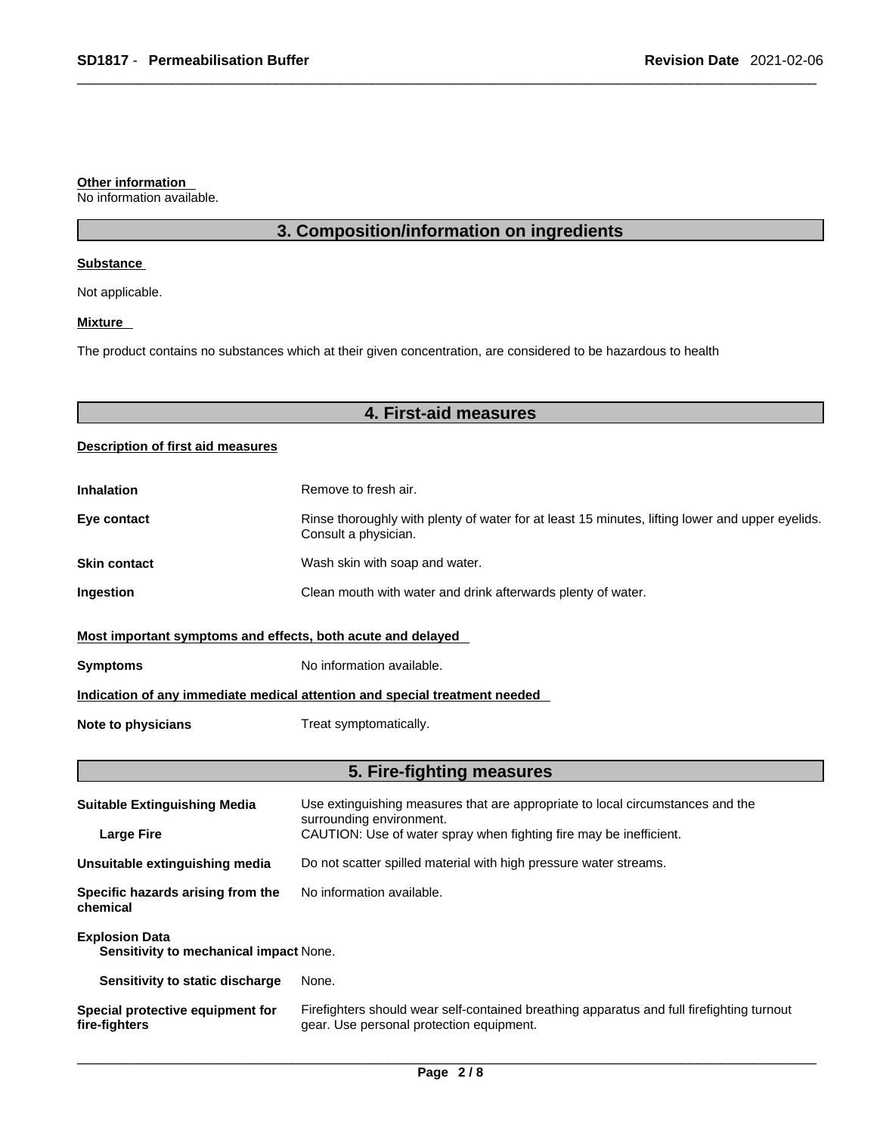### **Other information**

No information available.

## **3. Composition/information on ingredients**

### **Substance**

Not applicable.

### **Mixture**

The product contains no substances which at their given concentration, are considered to be hazardous to health

# **4. First-aid measures**

### **Description of first aid measures**

| <b>Inhalation</b>                                                          | Remove to fresh air.                                                                                                    |  |
|----------------------------------------------------------------------------|-------------------------------------------------------------------------------------------------------------------------|--|
| Eye contact                                                                | Rinse thoroughly with plenty of water for at least 15 minutes, lifting lower and upper eyelids.<br>Consult a physician. |  |
| <b>Skin contact</b>                                                        | Wash skin with soap and water.                                                                                          |  |
| Ingestion                                                                  | Clean mouth with water and drink afterwards plenty of water.                                                            |  |
| Most important symptoms and effects, both acute and delayed                |                                                                                                                         |  |
| <b>Symptoms</b>                                                            | No information available.                                                                                               |  |
| Indication of any immediate medical attention and special treatment needed |                                                                                                                         |  |
| Note to physicians                                                         | Treat symptomatically.                                                                                                  |  |

# **5. Fire-fighting measures**

| <b>Suitable Extinguishing Media</b>                             | Use extinguishing measures that are appropriate to local circumstances and the<br>surrounding environment.                            |  |
|-----------------------------------------------------------------|---------------------------------------------------------------------------------------------------------------------------------------|--|
| <b>Large Fire</b>                                               | CAUTION: Use of water spray when fighting fire may be inefficient.                                                                    |  |
| Unsuitable extinguishing media                                  | Do not scatter spilled material with high pressure water streams.                                                                     |  |
| Specific hazards arising from the<br>chemical                   | No information available.                                                                                                             |  |
| <b>Explosion Data</b><br>Sensitivity to mechanical impact None. |                                                                                                                                       |  |
| Sensitivity to static discharge                                 | None.                                                                                                                                 |  |
| Special protective equipment for<br>fire-fighters               | Firefighters should wear self-contained breathing apparatus and full firefighting turnout<br>gear. Use personal protection equipment. |  |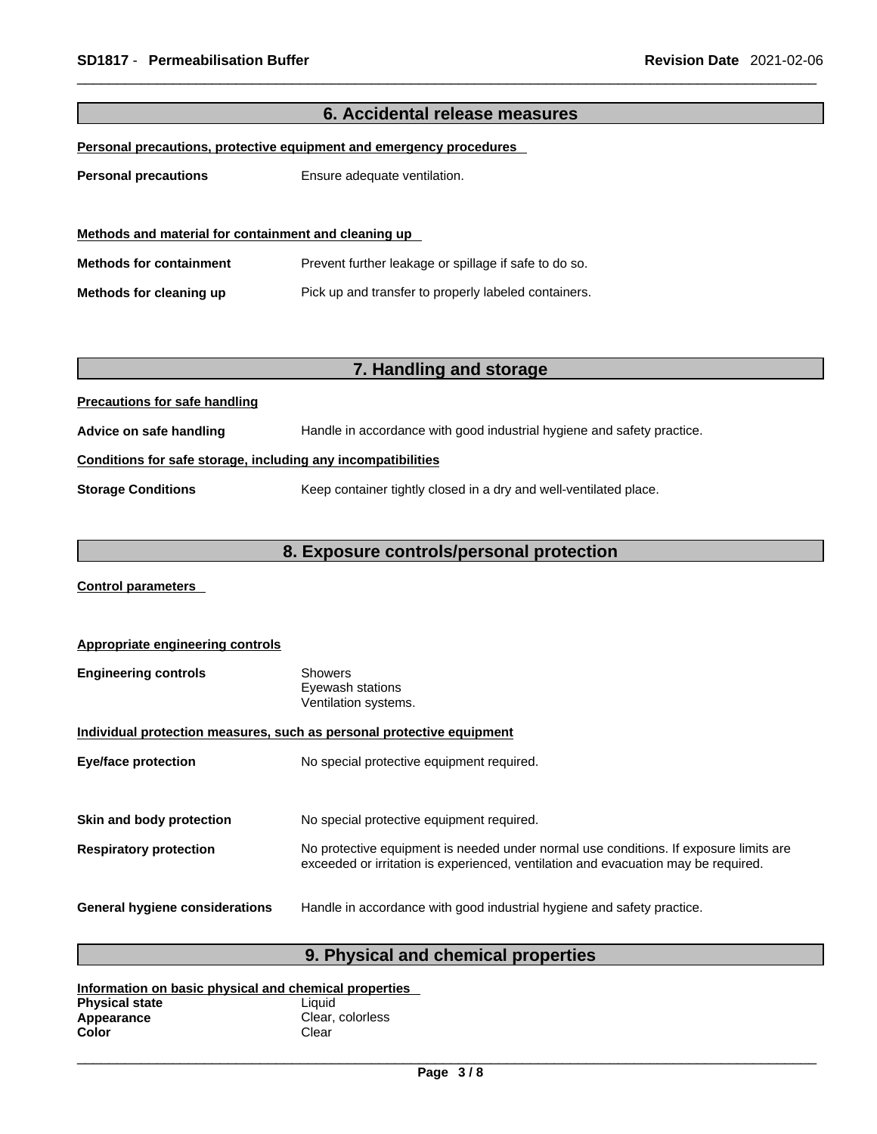| 6. Accidental release measures                               |                                                                        |  |
|--------------------------------------------------------------|------------------------------------------------------------------------|--|
|                                                              | Personal precautions, protective equipment and emergency procedures    |  |
|                                                              |                                                                        |  |
| <b>Personal precautions</b>                                  | Ensure adequate ventilation.                                           |  |
| Methods and material for containment and cleaning up         |                                                                        |  |
| <b>Methods for containment</b>                               | Prevent further leakage or spillage if safe to do so.                  |  |
| Methods for cleaning up                                      | Pick up and transfer to properly labeled containers.                   |  |
|                                                              |                                                                        |  |
|                                                              |                                                                        |  |
|                                                              | 7. Handling and storage                                                |  |
| <b>Precautions for safe handling</b>                         |                                                                        |  |
| Advice on safe handling                                      | Handle in accordance with good industrial hygiene and safety practice. |  |
| Conditions for safe storage, including any incompatibilities |                                                                        |  |
| <b>Storage Conditions</b>                                    | Keep container tightly closed in a dry and well-ventilated place.      |  |
|                                                              |                                                                        |  |
|                                                              | 8. Exposure controls/personal protection                               |  |
|                                                              |                                                                        |  |

**Control parameters** 

| Appropriate engineering controls                                      |                                                                                                                                                                             |  |
|-----------------------------------------------------------------------|-----------------------------------------------------------------------------------------------------------------------------------------------------------------------------|--|
| <b>Engineering controls</b>                                           | Showers<br>Eyewash stations<br>Ventilation systems.                                                                                                                         |  |
| Individual protection measures, such as personal protective equipment |                                                                                                                                                                             |  |
| <b>Eye/face protection</b>                                            | No special protective equipment required.                                                                                                                                   |  |
| Skin and body protection                                              | No special protective equipment required.                                                                                                                                   |  |
| <b>Respiratory protection</b>                                         | No protective equipment is needed under normal use conditions. If exposure limits are<br>exceeded or irritation is experienced, ventilation and evacuation may be required. |  |
| General hygiene considerations                                        | Handle in accordance with good industrial hygiene and safety practice.                                                                                                      |  |

# **9. Physical and chemical properties**

| Information on basic physical and chemical properties |                  |  |
|-------------------------------------------------------|------------------|--|
| <b>Physical state</b>                                 | Liauid           |  |
| Appearance                                            | Clear, colorless |  |
| Color                                                 | Clear            |  |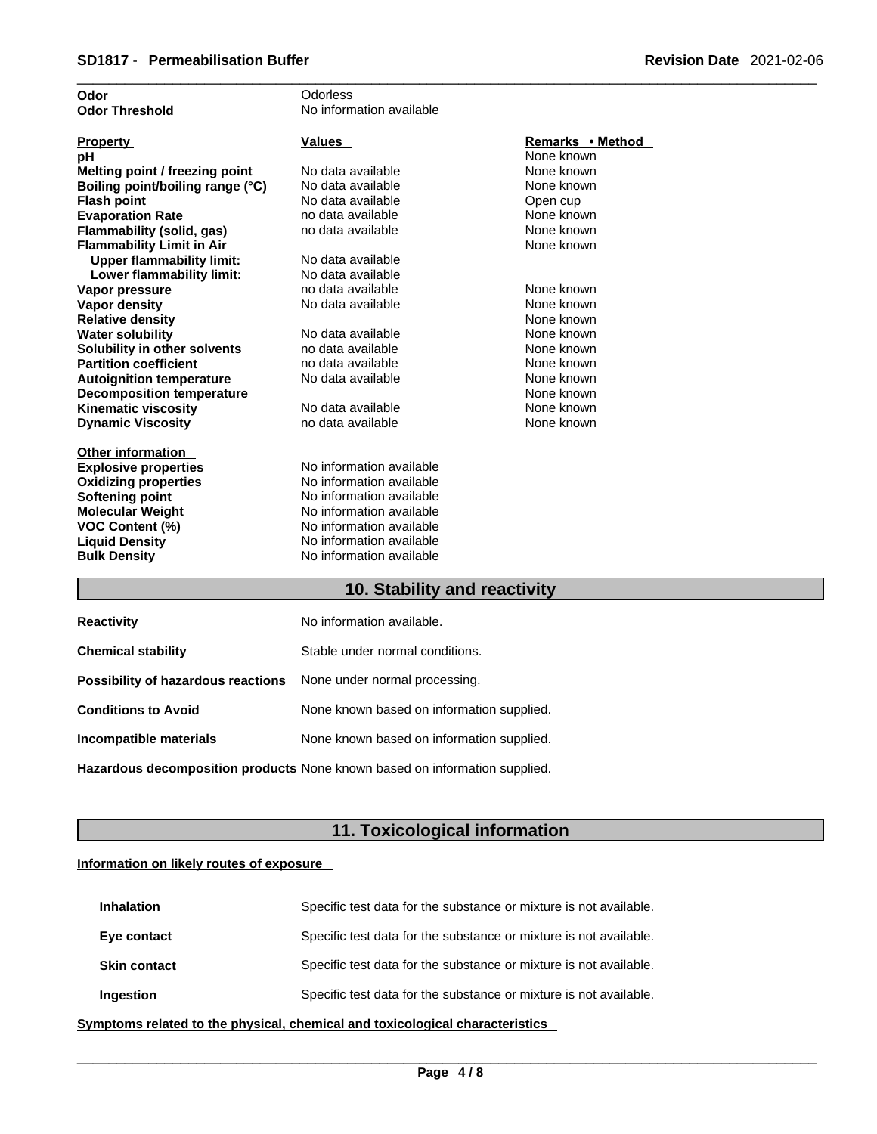| Odor                             | Odorless                 |                  |
|----------------------------------|--------------------------|------------------|
| <b>Odor Threshold</b>            | No information available |                  |
|                                  |                          |                  |
| <b>Property</b>                  | <b>Values</b>            | Remarks • Method |
| рH                               |                          | None known       |
| Melting point / freezing point   | No data available        | None known       |
| Boiling point/boiling range (°C) | No data available        | None known       |
| <b>Flash point</b>               | No data available        | Open cup         |
| <b>Evaporation Rate</b>          | no data available        | None known       |
| Flammability (solid, gas)        | no data available        | None known       |
| <b>Flammability Limit in Air</b> |                          | None known       |
| <b>Upper flammability limit:</b> | No data available        |                  |
| Lower flammability limit:        | No data available        |                  |
| Vapor pressure                   | no data available        | None known       |
| <b>Vapor density</b>             | No data available        | None known       |
| <b>Relative density</b>          |                          | None known       |
| <b>Water solubility</b>          | No data available        | None known       |
| Solubility in other solvents     | no data available        | None known       |
| <b>Partition coefficient</b>     | no data available        | None known       |
| <b>Autoignition temperature</b>  | No data available        | None known       |
| <b>Decomposition temperature</b> |                          | None known       |
| <b>Kinematic viscosity</b>       | No data available        | None known       |
| <b>Dynamic Viscosity</b>         | no data available        | None known       |
|                                  |                          |                  |
| <b>Other information</b>         |                          |                  |
| <b>Explosive properties</b>      | No information available |                  |
| <b>Oxidizing properties</b>      | No information available |                  |
| <b>Softening point</b>           | No information available |                  |
| <b>Molecular Weight</b>          | No information available |                  |
| <b>VOC Content (%)</b>           | No information available |                  |
| <b>Liquid Density</b>            | No information available |                  |
| <b>Bulk Density</b>              | No information available |                  |
|                                  |                          |                  |

### **10. Stability and reactivity**

| <b>Reactivity</b>                                                       | No information available.                 |
|-------------------------------------------------------------------------|-------------------------------------------|
| <b>Chemical stability</b>                                               | Stable under normal conditions.           |
| <b>Possibility of hazardous reactions</b> None under normal processing. |                                           |
| <b>Conditions to Avoid</b>                                              | None known based on information supplied. |
| Incompatible materials                                                  | None known based on information supplied. |
|                                                                         |                                           |

**Hazardous decomposition products** None known based on information supplied.

# **11. Toxicological information**

### **Information on likely routes of exposure**

| <b>Inhalation</b>   | Specific test data for the substance or mixture is not available. |
|---------------------|-------------------------------------------------------------------|
| Eye contact         | Specific test data for the substance or mixture is not available. |
| <b>Skin contact</b> | Specific test data for the substance or mixture is not available. |
| <b>Ingestion</b>    | Specific test data for the substance or mixture is not available. |

**<u>Symptoms related to the physical, chemical and toxicological characteristics</u>**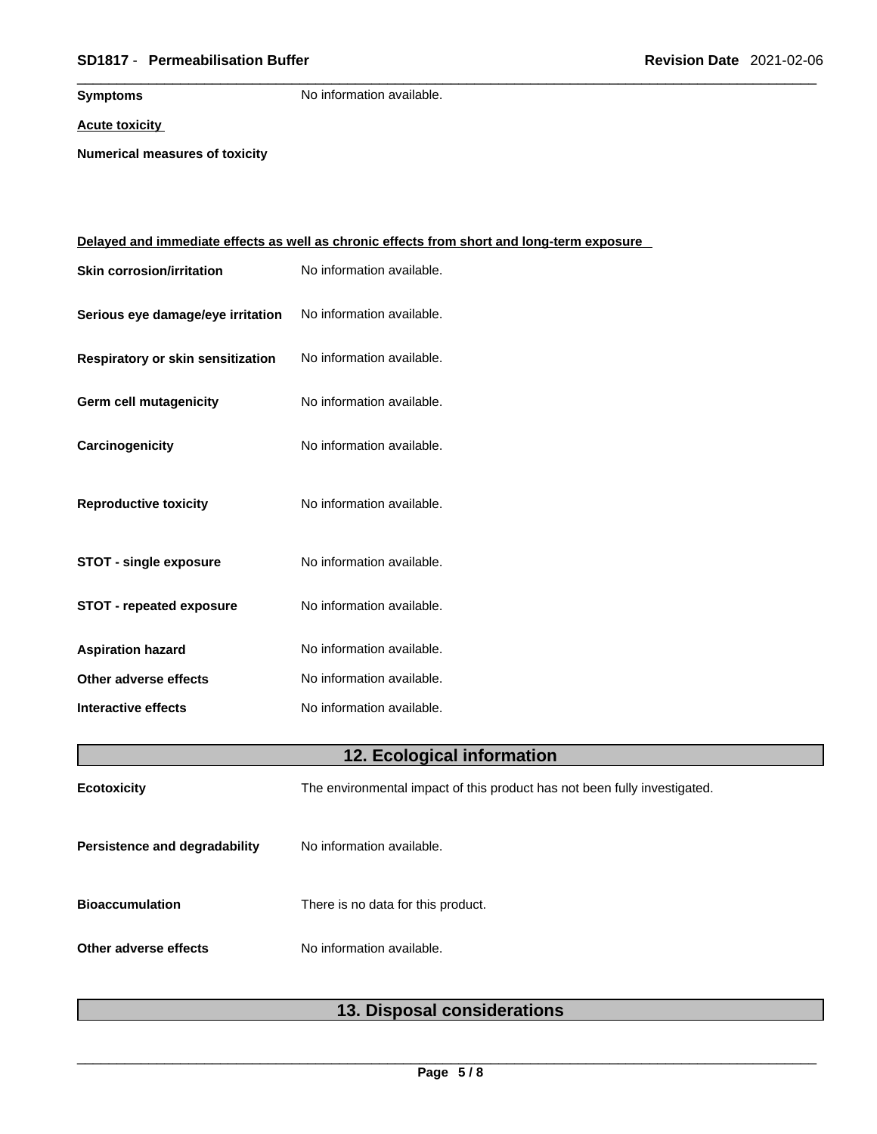### \_\_\_\_\_\_\_\_\_\_\_\_\_\_\_\_\_\_\_\_\_\_\_\_\_\_\_\_\_\_\_\_\_\_\_\_\_\_\_\_\_\_\_\_\_\_\_\_\_\_\_\_\_\_\_\_\_\_\_\_\_\_\_\_\_\_\_\_\_\_\_\_\_\_\_\_\_\_\_\_\_\_\_\_\_\_\_\_\_\_\_\_\_ **SD1817** - **Permeabilisation Buffer Revision Date** 2021-02-06

**Symptoms** No information available.

**Acute toxicity**

**Numerical measures of toxicity**

|                                   | <u>Delayed and immediate effects as well as chronic effects from short and long-term exposure</u> |  |
|-----------------------------------|---------------------------------------------------------------------------------------------------|--|
| <b>Skin corrosion/irritation</b>  | No information available.                                                                         |  |
| Serious eye damage/eye irritation | No information available.                                                                         |  |
| Respiratory or skin sensitization | No information available.                                                                         |  |
| <b>Germ cell mutagenicity</b>     | No information available.                                                                         |  |
| Carcinogenicity                   | No information available.                                                                         |  |
| <b>Reproductive toxicity</b>      | No information available.                                                                         |  |
| <b>STOT - single exposure</b>     | No information available.                                                                         |  |
| <b>STOT - repeated exposure</b>   | No information available.                                                                         |  |
| <b>Aspiration hazard</b>          | No information available.                                                                         |  |
| Other adverse effects             | No information available.                                                                         |  |
| <b>Interactive effects</b>        | No information available.                                                                         |  |
| 12. Ecological information        |                                                                                                   |  |
| Ecotoxicity                       | The environmental impact of this product has not been fully investigated.                         |  |
| Persistence and degradability     | No information available.                                                                         |  |
| <b>Bioaccumulation</b>            | There is no data for this product.                                                                |  |
| Other adverse effects             | No information available.                                                                         |  |
|                                   |                                                                                                   |  |

# **13. Disposal considerations**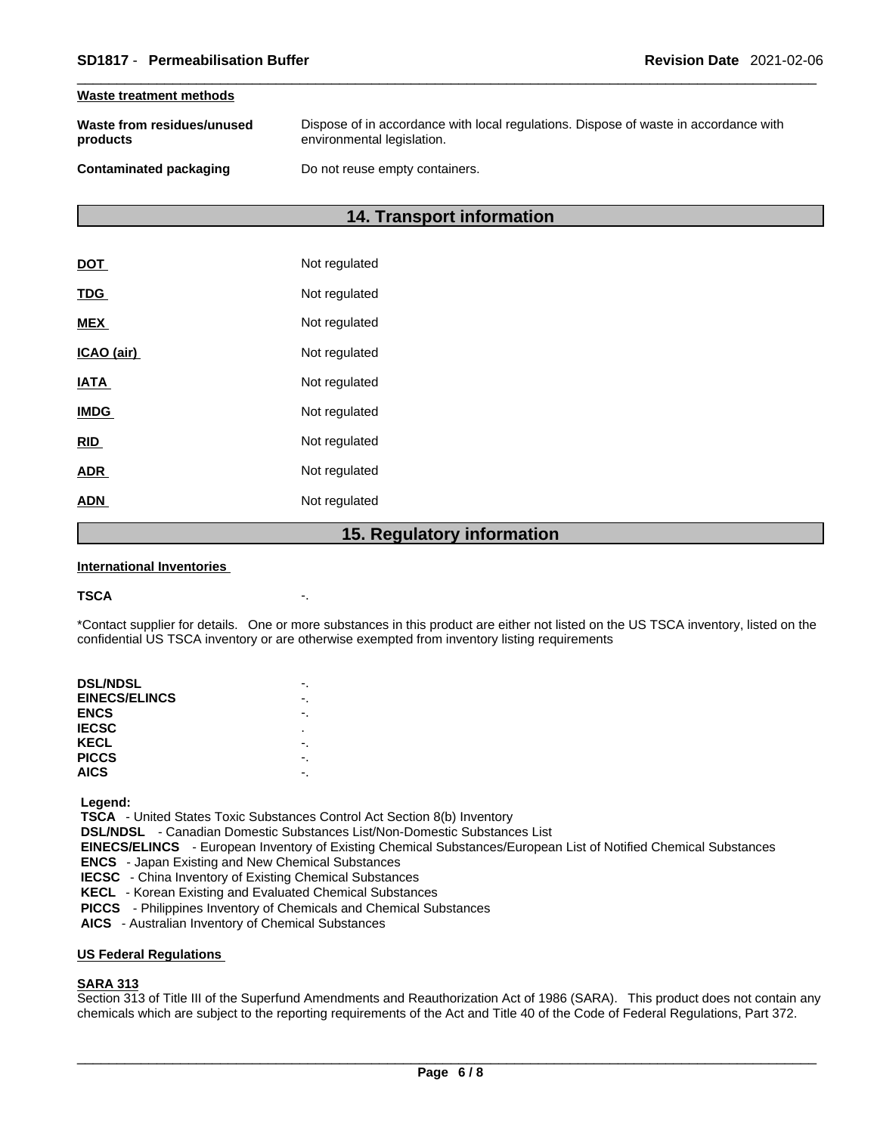### **Waste treatment methods**

| Waste from residues/unused    | Dispose of in accordance with local regulations. Dispose of waste in accordance with |
|-------------------------------|--------------------------------------------------------------------------------------|
| products                      | environmental legislation.                                                           |
| <b>Contaminated packaging</b> | Do not reuse empty containers.                                                       |

### **14. Transport information**

|             | 1 F<br><b>Dogulator</b> |
|-------------|-------------------------|
| <b>ADN</b>  | Not regulated           |
| <b>ADR</b>  | Not regulated           |
| <b>RID</b>  | Not regulated           |
| <b>IMDG</b> | Not regulated           |
| <b>IATA</b> | Not regulated           |
| ICAO (air)  | Not regulated           |
| <b>MEX</b>  | Not regulated           |
| <b>TDG</b>  | Not regulated           |
| <b>DOT</b>  | Not regulated           |

### **15. Regulatory information**

### **International Inventories**

### **TSCA** -.

\*Contact supplier for details. One or more substances in this product are either not listed on the US TSCA inventory, listed on the confidential US TSCA inventory or are otherwise exempted from inventory listing requirements

| <b>DSL/NDSL</b>      |   |
|----------------------|---|
| <b>EINECS/ELINCS</b> |   |
| <b>ENCS</b>          |   |
| <b>IECSC</b>         | ٠ |
| KECL                 |   |
| <b>PICCS</b>         |   |
| <b>AICS</b>          |   |
|                      |   |

 **Legend:** 

 **TSCA** - United States Toxic Substances Control Act Section 8(b) Inventory

 **DSL/NDSL** - Canadian Domestic Substances List/Non-Domestic Substances List

 **EINECS/ELINCS** - European Inventory of Existing Chemical Substances/European List of Notified Chemical Substances

 **ENCS** - Japan Existing and New Chemical Substances

 **IECSC** - China Inventory of Existing Chemical Substances

 **KECL** - Korean Existing and Evaluated Chemical Substances

 **PICCS** - Philippines Inventory of Chemicals and Chemical Substances

 **AICS** - Australian Inventory of Chemical Substances

### **US Federal Regulations**

### **SARA 313**

Section 313 of Title III of the Superfund Amendments and Reauthorization Act of 1986 (SARA). This product does not contain any chemicals which are subject to the reporting requirements of the Act and Title 40 of the Code of Federal Regulations, Part 372.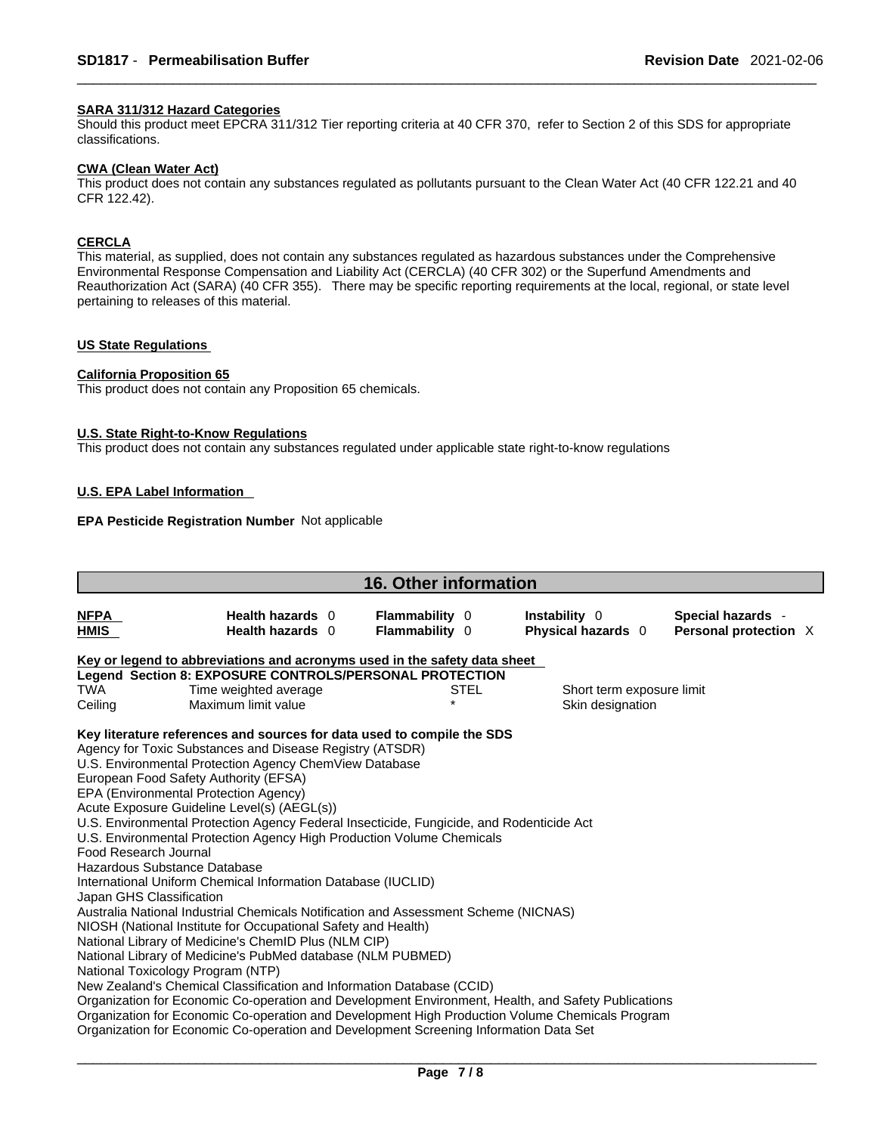### **SARA 311/312 Hazard Categories**

Should this product meet EPCRA 311/312 Tier reporting criteria at 40 CFR 370, refer to Section 2 of this SDS for appropriate classifications.

### **CWA (Clean WaterAct)**

This product does not contain any substances regulated as pollutants pursuant to the Clean Water Act (40 CFR 122.21 and 40 CFR 122.42).

### **CERCLA**

This material, as supplied, does not contain any substances regulated as hazardous substances under the Comprehensive Environmental Response Compensation and Liability Act (CERCLA) (40 CFR 302) or the Superfund Amendments and Reauthorization Act (SARA) (40 CFR 355). There may be specific reporting requirements at the local, regional, or state level pertaining to releases of this material.

### **US State Regulations**

### **California Proposition 65**

This product does not contain any Proposition 65 chemicals.

### **U.S. State Right-to-Know Regulations**

This product does not contain any substances regulated under applicable state right-to-know regulations

### **U.S. EPA Label Information**

### **EPA Pesticide Registration Number** Not applicable